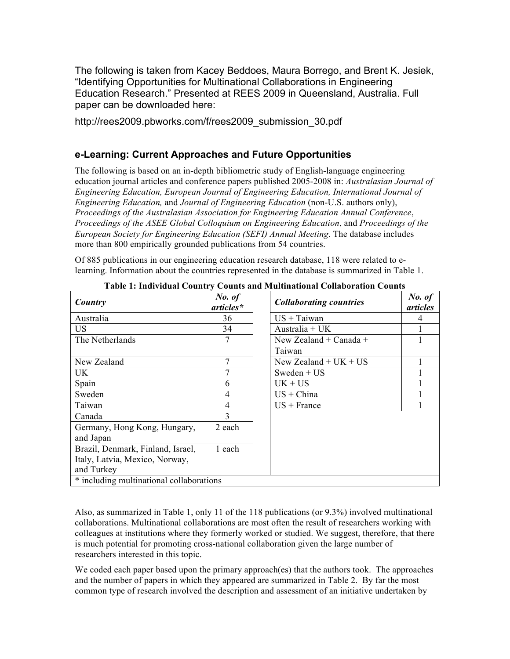The following is taken from Kacey Beddoes, Maura Borrego, and Brent K. Jesiek, "Identifying Opportunities for Multinational Collaborations in Engineering Education Research." Presented at REES 2009 in Queensland, Australia. Full paper can be downloaded here:

http://rees2009.pbworks.com/f/rees2009\_submission\_30.pdf

## **e-Learning: Current Approaches and Future Opportunities**

The following is based on an in-depth bibliometric study of English-language engineering education journal articles and conference papers published 2005-2008 in: *Australasian Journal of Engineering Education, European Journal of Engineering Education, International Journal of Engineering Education,* and *Journal of Engineering Education* (non-U.S. authors only), *Proceedings of the Australasian Association for Engineering Education Annual Conference*, *Proceedings of the ASEE Global Colloquium on Engineering Education*, and *Proceedings of the European Society for Engineering Education (SEFI) Annual Meeting*. The database includes more than 800 empirically grounded publications from 54 countries.

Of 885 publications in our engineering education research database, 118 were related to elearning. Information about the countries represented in the database is summarized in Table 1.

| Country                                                                           | No. of<br>articles* | <b>Collaborating countries</b>   | No. of<br>articles |
|-----------------------------------------------------------------------------------|---------------------|----------------------------------|--------------------|
| Australia                                                                         | 36                  | $US + Taiwan$                    | 4                  |
| US                                                                                | 34                  | Australia + $UK$                 |                    |
| The Netherlands                                                                   | 7                   | New Zealand + Canada +<br>Taiwan |                    |
| New Zealand                                                                       | 7                   | New Zealand + $UK + US$          |                    |
| UK.                                                                               |                     | Sweden + $US$                    |                    |
| Spain                                                                             | 6                   | $UK + US$                        |                    |
| Sweden                                                                            | $\overline{4}$      | $US + China$                     |                    |
| Taiwan                                                                            | $\overline{4}$      | $US + France$                    |                    |
| Canada                                                                            | $\mathcal{E}$       |                                  |                    |
| Germany, Hong Kong, Hungary,<br>and Japan                                         | 2 each              |                                  |                    |
| Brazil, Denmark, Finland, Israel,<br>Italy, Latvia, Mexico, Norway,<br>and Turkey | 1 each              |                                  |                    |
| * including multinational collaborations                                          |                     |                                  |                    |

|  |  | Table 1: Individual Country Counts and Multinational Collaboration Counts |  |
|--|--|---------------------------------------------------------------------------|--|
|  |  |                                                                           |  |

Also, as summarized in Table 1, only 11 of the 118 publications (or 9.3%) involved multinational collaborations. Multinational collaborations are most often the result of researchers working with colleagues at institutions where they formerly worked or studied. We suggest, therefore, that there is much potential for promoting cross-national collaboration given the large number of researchers interested in this topic.

We coded each paper based upon the primary approach(es) that the authors took. The approaches and the number of papers in which they appeared are summarized in Table 2. By far the most common type of research involved the description and assessment of an initiative undertaken by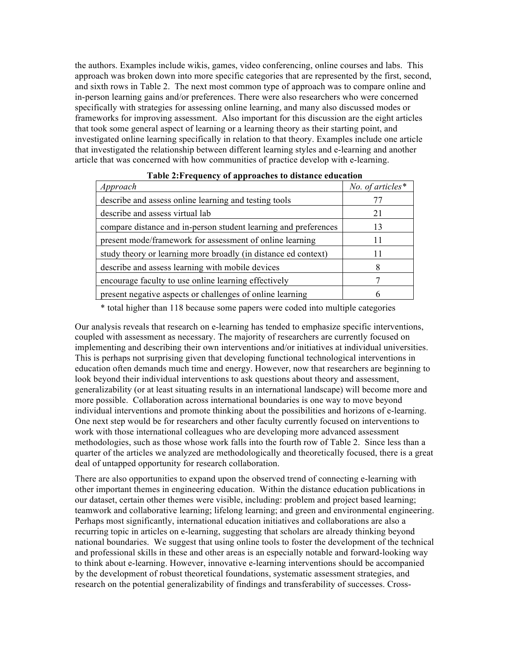the authors. Examples include wikis, games, video conferencing, online courses and labs. This approach was broken down into more specific categories that are represented by the first, second, and sixth rows in Table 2. The next most common type of approach was to compare online and in-person learning gains and/or preferences. There were also researchers who were concerned specifically with strategies for assessing online learning, and many also discussed modes or frameworks for improving assessment. Also important for this discussion are the eight articles that took some general aspect of learning or a learning theory as their starting point, and investigated online learning specifically in relation to that theory. Examples include one article that investigated the relationship between different learning styles and e-learning and another article that was concerned with how communities of practice develop with e-learning.

| Table 2.1 requestly of approaches to distance culcation         |                     |  |  |  |  |
|-----------------------------------------------------------------|---------------------|--|--|--|--|
| Approach                                                        | No. of articles $*$ |  |  |  |  |
| describe and assess online learning and testing tools           | 77                  |  |  |  |  |
| describe and assess virtual lab                                 | 21                  |  |  |  |  |
| compare distance and in-person student learning and preferences | 13                  |  |  |  |  |
| present mode/framework for assessment of online learning        | 11                  |  |  |  |  |
| study theory or learning more broadly (in distance ed context)  | 11                  |  |  |  |  |
| describe and assess learning with mobile devices                | 8                   |  |  |  |  |
| encourage faculty to use online learning effectively            | 7                   |  |  |  |  |
| present negative aspects or challenges of online learning       | 6                   |  |  |  |  |

\* total higher than 118 because some papers were coded into multiple categories

Our analysis reveals that research on e-learning has tended to emphasize specific interventions, coupled with assessment as necessary. The majority of researchers are currently focused on implementing and describing their own interventions and/or initiatives at individual universities. This is perhaps not surprising given that developing functional technological interventions in education often demands much time and energy. However, now that researchers are beginning to look beyond their individual interventions to ask questions about theory and assessment, generalizability (or at least situating results in an international landscape) will become more and more possible. Collaboration across international boundaries is one way to move beyond individual interventions and promote thinking about the possibilities and horizons of e-learning. One next step would be for researchers and other faculty currently focused on interventions to work with those international colleagues who are developing more advanced assessment methodologies, such as those whose work falls into the fourth row of Table 2. Since less than a quarter of the articles we analyzed are methodologically and theoretically focused, there is a great deal of untapped opportunity for research collaboration.

There are also opportunities to expand upon the observed trend of connecting e-learning with other important themes in engineering education. Within the distance education publications in our dataset, certain other themes were visible, including: problem and project based learning; teamwork and collaborative learning; lifelong learning; and green and environmental engineering. Perhaps most significantly, international education initiatives and collaborations are also a recurring topic in articles on e-learning, suggesting that scholars are already thinking beyond national boundaries. We suggest that using online tools to foster the development of the technical and professional skills in these and other areas is an especially notable and forward-looking way to think about e-learning. However, innovative e-learning interventions should be accompanied by the development of robust theoretical foundations, systematic assessment strategies, and research on the potential generalizability of findings and transferability of successes. Cross